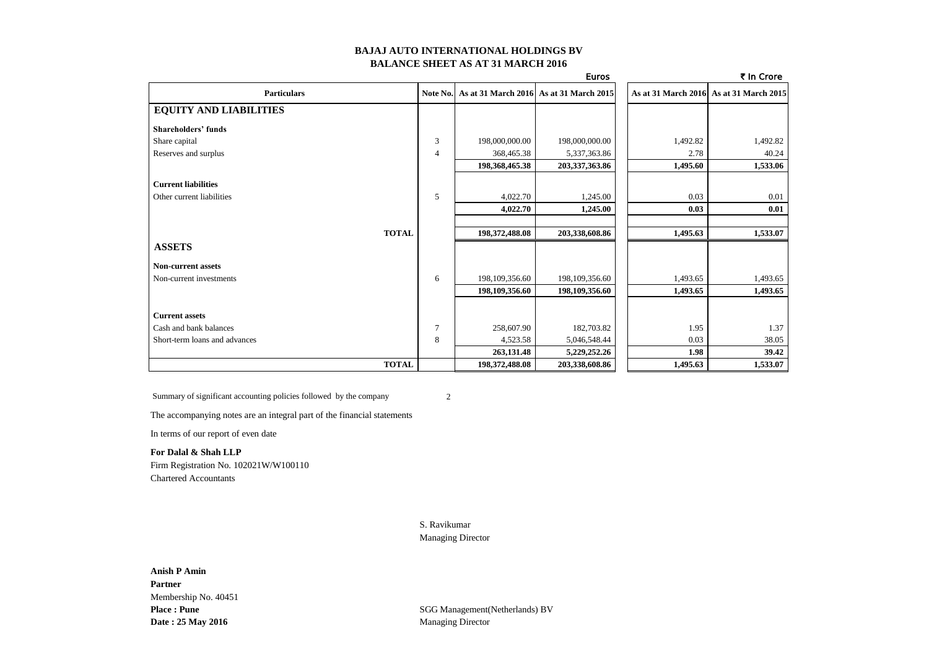### **BAJAJ AUTO INTERNATIONAL HOLDINGS BV BALANCE SHEET AS AT 31 MARCH 2016**

|                               |          |                | <b>Euros</b>                            |          | ₹ In Crore                              |
|-------------------------------|----------|----------------|-----------------------------------------|----------|-----------------------------------------|
| <b>Particulars</b>            | Note No. |                | As at 31 March 2016 As at 31 March 2015 |          | As at 31 March 2016 As at 31 March 2015 |
| <b>EQUITY AND LIABILITIES</b> |          |                |                                         |          |                                         |
| <b>Shareholders' funds</b>    |          |                |                                         |          |                                         |
| Share capital                 | 3        | 198,000,000.00 | 198,000,000.00                          | 1,492.82 | 1,492.82                                |
| Reserves and surplus          | 4        | 368,465.38     | 5,337,363.86                            | 2.78     | 40.24                                   |
|                               |          | 198,368,465.38 | 203,337,363.86                          | 1,495.60 | 1,533.06                                |
| <b>Current liabilities</b>    |          |                |                                         |          |                                         |
| Other current liabilities     | 5        | 4,022.70       | 1,245.00                                | 0.03     | 0.01                                    |
|                               |          | 4,022.70       | 1,245.00                                | 0.03     | 0.01                                    |
| <b>TOTAL</b>                  |          | 198,372,488.08 | 203,338,608.86                          | 1,495.63 | 1,533.07                                |
| <b>ASSETS</b>                 |          |                |                                         |          |                                         |
| <b>Non-current assets</b>     |          |                |                                         |          |                                         |
| Non-current investments       | 6        | 198,109,356.60 | 198,109,356.60                          | 1,493.65 | 1,493.65                                |
|                               |          | 198,109,356.60 | 198,109,356.60                          | 1,493.65 | 1,493.65                                |
| <b>Current assets</b>         |          |                |                                         |          |                                         |
| Cash and bank balances        | 7        | 258,607.90     | 182,703.82                              | 1.95     | 1.37                                    |
| Short-term loans and advances | 8        | 4,523.58       | 5,046,548.44                            | 0.03     | 38.05                                   |
|                               |          | 263,131.48     | 5,229,252.26                            | 1.98     | 39.42                                   |
| <b>TOTAL</b>                  |          | 198,372,488.08 | 203,338,608.86                          | 1,495.63 | 1,533.07                                |

Summary of significant accounting policies followed by the company 2

The accompanying notes are an integral part of the financial statements

In terms of our report of even date

#### **For Dalal & Shah LLP**

Firm Registration No. 102021W/W100110 Chartered Accountants

S. Ravikumar

### Managing Director

**Place : Pune** SGG Management(Netherlands) BV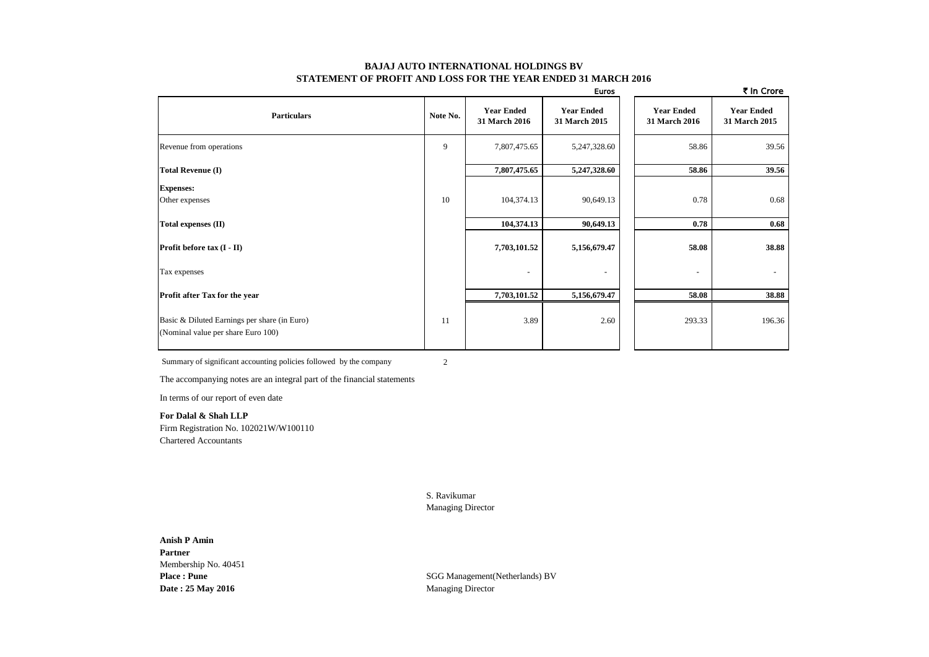#### **BAJAJ AUTO INTERNATIONAL HOLDINGS BV STATEMENT OF PROFIT AND LOSS FOR THE YEAR ENDED 31 MARCH 2016**

|                                                                                    |          |                                    | <b>Euros</b>                       |                                    | ₹ In Crore                         |
|------------------------------------------------------------------------------------|----------|------------------------------------|------------------------------------|------------------------------------|------------------------------------|
| <b>Particulars</b>                                                                 | Note No. | <b>Year Ended</b><br>31 March 2016 | <b>Year Ended</b><br>31 March 2015 | <b>Year Ended</b><br>31 March 2016 | <b>Year Ended</b><br>31 March 2015 |
| Revenue from operations                                                            | 9        | 7,807,475.65                       | 5,247,328.60                       | 58.86                              | 39.56                              |
| <b>Total Revenue (I)</b>                                                           |          | 7,807,475.65                       | 5,247,328.60                       | 58.86                              | 39.56                              |
| <b>Expenses:</b>                                                                   |          |                                    |                                    |                                    |                                    |
| Other expenses                                                                     | 10       | 104,374.13                         | 90,649.13                          | 0.78                               | 0.68                               |
| Total expenses (II)                                                                |          | 104,374.13                         | 90,649.13                          | 0.78                               | 0.68                               |
| Profit before tax (I - II)                                                         |          | 7,703,101.52                       | 5,156,679.47                       | 58.08                              | 38.88                              |
| Tax expenses                                                                       |          | $\overline{\phantom{a}}$           | $\overline{\phantom{a}}$           | ۰                                  | $\sim$                             |
| Profit after Tax for the year                                                      |          | 7,703,101.52                       | 5,156,679.47                       | 58.08                              | 38.88                              |
| Basic & Diluted Earnings per share (in Euro)<br>(Nominal value per share Euro 100) | 11       | 3.89                               | 2.60                               | 293.33                             | 196.36                             |

Summary of significant accounting policies followed by the company 2

The accompanying notes are an integral part of the financial statements

In terms of our report of even date

**For Dalal & Shah LLP** Firm Registration No. 102021W/W100110 Chartered Accountants

> S. Ravikumar Managing Director

# **Anish P Amin Partner** Membership No. 40451 **Date : 25 May 2016** Managing Director

Place : Pune<br>
SGG Management(Netherlands) BV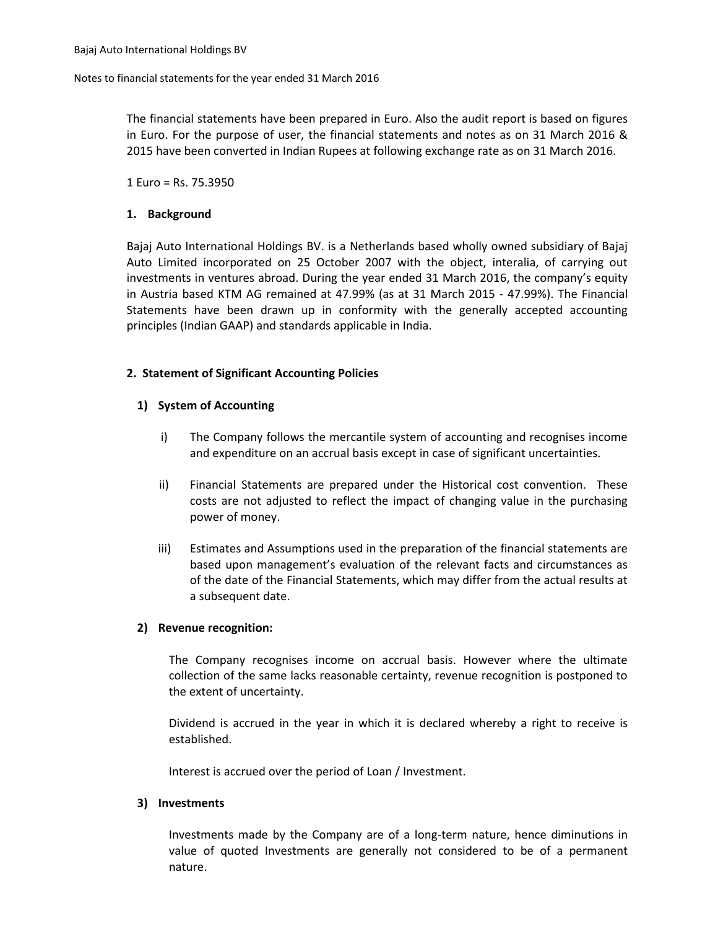### Notes to financial statements for the year ended 31 March 2016

The financial statements have been prepared in Euro. Also the audit report is based on figures in Euro. For the purpose of user, the financial statements and notes as on 31 March 2016 & 2015 have been converted in Indian Rupees at following exchange rate as on 31 March 2016.

1 Euro = Rs. 75.3950

## **1. Background**

Bajaj Auto International Holdings BV. is a Netherlands based wholly owned subsidiary of Bajaj Auto Limited incorporated on 25 October 2007 with the object, interalia, of carrying out investments in ventures abroad. During the year ended 31 March 2016, the company's equity in Austria based KTM AG remained at 47.99% (as at 31 March 2015 - 47.99%). The Financial Statements have been drawn up in conformity with the generally accepted accounting principles (Indian GAAP) and standards applicable in India.

## **2. Statement of Significant Accounting Policies**

## **1) System of Accounting**

- i) The Company follows the mercantile system of accounting and recognises income and expenditure on an accrual basis except in case of significant uncertainties.
- ii) Financial Statements are prepared under the Historical cost convention. These costs are not adjusted to reflect the impact of changing value in the purchasing power of money.
- iii) Estimates and Assumptions used in the preparation of the financial statements are based upon management's evaluation of the relevant facts and circumstances as of the date of the Financial Statements, which may differ from the actual results at a subsequent date.

## **2) Revenue recognition:**

The Company recognises income on accrual basis. However where the ultimate collection of the same lacks reasonable certainty, revenue recognition is postponed to the extent of uncertainty.

Dividend is accrued in the year in which it is declared whereby a right to receive is established.

Interest is accrued over the period of Loan / Investment.

## **3) Investments**

Investments made by the Company are of a long-term nature, hence diminutions in value of quoted Investments are generally not considered to be of a permanent nature.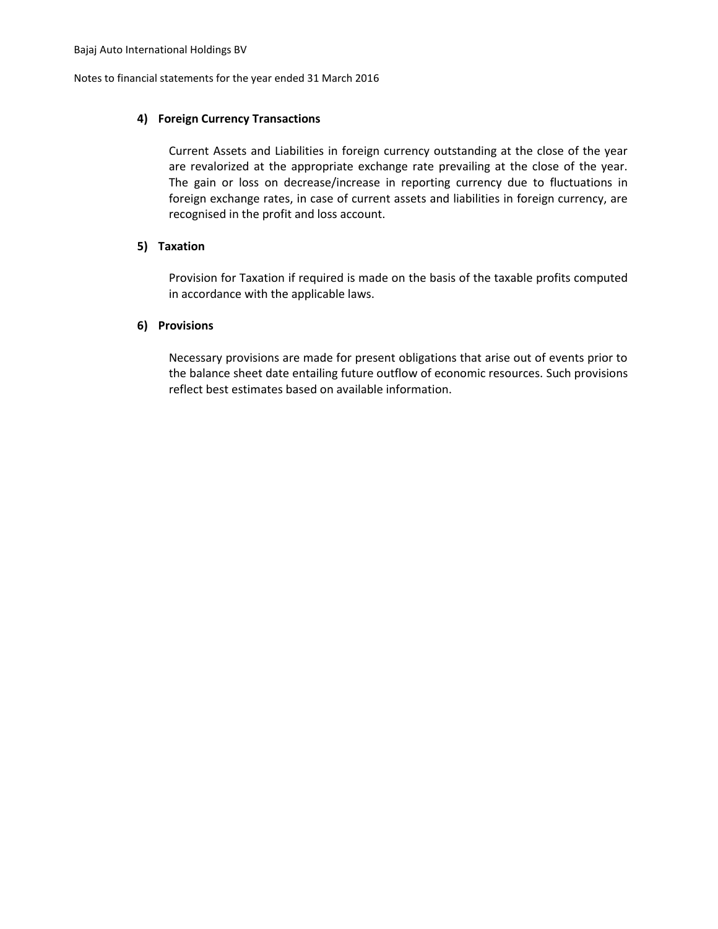Notes to financial statements for the year ended 31 March 2016

## **4) Foreign Currency Transactions**

Current Assets and Liabilities in foreign currency outstanding at the close of the year are revalorized at the appropriate exchange rate prevailing at the close of the year. The gain or loss on decrease/increase in reporting currency due to fluctuations in foreign exchange rates, in case of current assets and liabilities in foreign currency, are recognised in the profit and loss account.

## **5) Taxation**

Provision for Taxation if required is made on the basis of the taxable profits computed in accordance with the applicable laws.

## **6) Provisions**

Necessary provisions are made for present obligations that arise out of events prior to the balance sheet date entailing future outflow of economic resources. Such provisions reflect best estimates based on available information.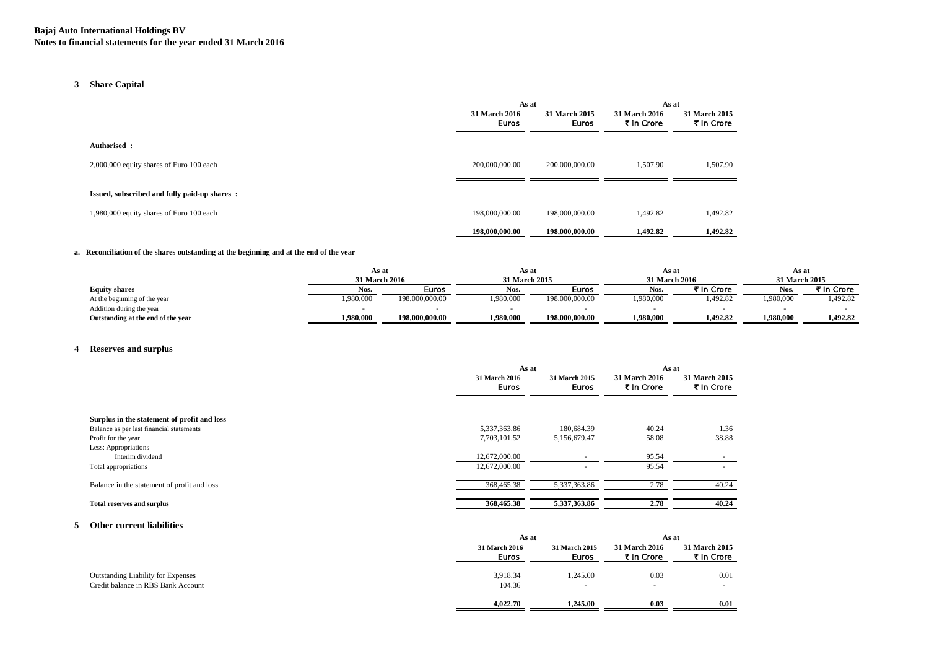### **3 Share Capital**

|                                              | As at                                |                               | As at                       |                             |
|----------------------------------------------|--------------------------------------|-------------------------------|-----------------------------|-----------------------------|
|                                              | <b>31 March 2016</b><br><b>Euros</b> | 31 March 2015<br><b>Euros</b> | 31 March 2016<br>₹ In Crore | 31 March 2015<br>₹ In Crore |
| Authorised:                                  |                                      |                               |                             |                             |
| 2,000,000 equity shares of Euro 100 each     | 200,000,000.00                       | 200,000,000,00                | 1.507.90                    | 1,507.90                    |
| Issued, subscribed and fully paid-up shares: |                                      |                               |                             |                             |
| 1,980,000 equity shares of Euro 100 each     | 198,000,000.00                       | 198,000,000.00                | 1,492.82                    | 1,492.82                    |
|                                              | 198,000,000.00                       | 198,000,000.00                | 1,492.82                    | 1,492.82                    |

#### **a. Reconciliation of the shares outstanding at the beginning and at the end of the year**

|                                    | As at                          |                |               | As at          |               | As at      |           | As at      |  |
|------------------------------------|--------------------------------|----------------|---------------|----------------|---------------|------------|-----------|------------|--|
|                                    | 31 March 2016<br>31 March 2015 |                | 31 March 2016 |                | 31 March 2015 |            |           |            |  |
| <b>Equity shares</b>               | Nos.                           | Euros          | Nos.          | <b>Euros</b>   | Nos.          | ₹ In Crore | Nos.      | t In Crore |  |
| At the beginning of the year       | 1,980,000                      | 198,000,000.00 | 1,980,000     | 198,000,000.00 | 1,980,000     | .492.82    | 1,980,000 | ,492.82    |  |
| Addition during the year           |                                |                |               |                |               |            |           |            |  |
| Outstanding at the end of the year | 1,980,000                      | 198,000,000.00 | 1,980,000     | 198,000,000.00 | 1.980.000     | 1.492.82   | 1.980.000 | 1.492.82   |  |

### **4 Reserves and surplus**

|                                                                 | As at                         |                        | As at                       |                             |
|-----------------------------------------------------------------|-------------------------------|------------------------|-----------------------------|-----------------------------|
|                                                                 | 31 March 2016<br><b>Euros</b> | 31 March 2015<br>Euros | 31 March 2016<br>₹ In Crore | 31 March 2015<br>₹ In Crore |
| Surplus in the statement of profit and loss                     | 5,337,363.86                  | 180,684.39             | 40.24                       | 1.36                        |
| Balance as per last financial statements<br>Profit for the year | 7,703,101.52                  | 5,156,679.47           | 58.08                       | 38.88                       |
| Less: Appropriations                                            |                               |                        |                             |                             |
| Interim dividend                                                | 12,672,000.00                 |                        | 95.54                       |                             |
| Total appropriations                                            | 12,672,000.00                 |                        | 95.54                       |                             |
| Balance in the statement of profit and loss                     | 368,465.38                    | 5,337,363.86           | 2.78                        | 40.24                       |
| <b>Total reserves and surplus</b>                               | 368,465.38                    | 5,337,363.86           | 2.78                        | 40.24                       |

### **5 Other current liabilities**

|                                           | As at                         |                               | As at                              |                                    |
|-------------------------------------------|-------------------------------|-------------------------------|------------------------------------|------------------------------------|
|                                           | 31 March 2016<br><b>Euros</b> | 31 March 2015<br><b>Euros</b> | <b>31 March 2016</b><br>₹ In Crore | <b>31 March 2015</b><br>₹ In Crore |
| <b>Outstanding Liability for Expenses</b> | 3,918.34                      | 1,245.00                      | 0.03                               | 0.01                               |
| Credit balance in RBS Bank Account        | 104.36                        | $\overline{\phantom{a}}$      | $\overline{\phantom{a}}$           | $\overline{\phantom{a}}$           |
|                                           | 4,022.70                      | 1.245.00                      | 0.03                               | 0.01                               |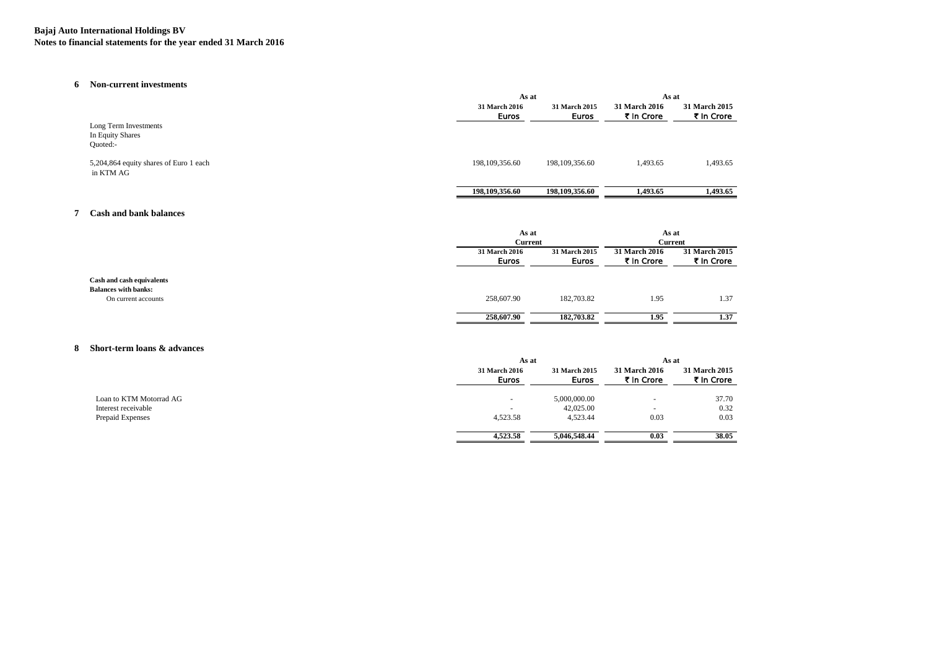#### **Bajaj Auto International Holdings BV Notes to financial statements for the year ended 31 March 2016**

#### **6 Non-current investments**

|                                                     | As at                         |                               | As at                              |                             |
|-----------------------------------------------------|-------------------------------|-------------------------------|------------------------------------|-----------------------------|
|                                                     | 31 March 2016<br><b>Euros</b> | 31 March 2015<br><b>Euros</b> | <b>31 March 2016</b><br>₹ In Crore | 31 March 2015<br>₹ In Crore |
| Long Term Investments                               |                               |                               |                                    |                             |
| In Equity Shares                                    |                               |                               |                                    |                             |
| Ouoted:-                                            |                               |                               |                                    |                             |
| 5,204,864 equity shares of Euro 1 each<br>in KTM AG | 198, 109, 356.60              | 198, 109, 356.60              | 1,493.65                           | 1,493.65                    |
|                                                     | 198,109,356.60                | 198,109,356.60                | 1.493.65                           | 1.493.65                    |

#### **7 Cash and bank balances**

|                                                          |                               | As at                  |                             | As at                       |
|----------------------------------------------------------|-------------------------------|------------------------|-----------------------------|-----------------------------|
|                                                          | <b>Current</b>                |                        | <b>Current</b>              |                             |
|                                                          | 31 March 2016<br><b>Euros</b> | 31 March 2015<br>Euros | 31 March 2016<br>₹ In Crore | 31 March 2015<br>₹ In Crore |
| Cash and cash equivalents<br><b>Balances with banks:</b> |                               |                        |                             |                             |
| On current accounts                                      | 258,607.90                    | 182,703.82             | 1.95                        | 1.37                        |
|                                                          | 258,607.90                    | 182,703.82             | 1.95                        | 1.37                        |

#### **8 Short-term loans & advances**

|                         |                          | As at                  |                             | As at                       |  |
|-------------------------|--------------------------|------------------------|-----------------------------|-----------------------------|--|
|                         | 31 March 2016<br>Euros   | 31 March 2015<br>Euros | 31 March 2016<br>₹ In Crore | 31 March 2015<br>₹ In Crore |  |
| Loan to KTM Motorrad AG | $\overline{\phantom{a}}$ | 5,000,000.00           |                             | 37.70                       |  |
| Interest receivable     | $\overline{\phantom{a}}$ | 42,025.00              |                             | 0.32                        |  |
| Prepaid Expenses        | 4,523.58                 | 4,523.44               | 0.03                        | 0.03                        |  |
|                         | 4,523.58                 | 5,046,548.44           | 0.03                        | 38.05                       |  |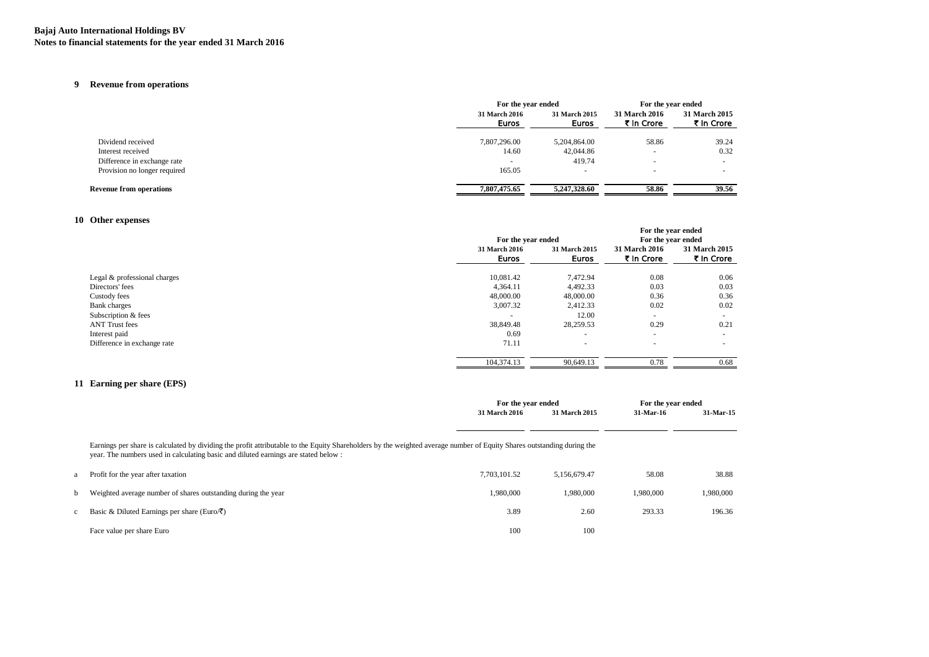#### **Bajaj Auto International Holdings BV Notes to financial statements for the year ended 31 March 2016**

## **9 Revenue from operations**

|                                |                          | For the year ended            |                                    | For the year ended          |
|--------------------------------|--------------------------|-------------------------------|------------------------------------|-----------------------------|
|                                | 31 March 2016<br>Euros   | 31 March 2015<br><b>Euros</b> | <b>31 March 2016</b><br>₹ In Crore | 31 March 2015<br>₹ In Crore |
| Dividend received              | 7,807,296.00             | 5,204,864.00                  | 58.86                              | 39.24                       |
| Interest received              | 14.60                    | 42,044.86                     | ۰                                  | 0.32                        |
| Difference in exchange rate    | $\overline{\phantom{a}}$ | 419.74                        |                                    |                             |
| Provision no longer required   | 165.05                   |                               | ۰                                  |                             |
| <b>Revenue from operations</b> | 7,807,475.65             | 5.247.328.60                  | 58.86                              | 39.56                       |

### **10 Other expenses**

|                              |                               | For the year ended            |                             | For the year ended<br>For the year ended |
|------------------------------|-------------------------------|-------------------------------|-----------------------------|------------------------------------------|
|                              | 31 March 2016<br><b>Euros</b> | 31 March 2015<br><b>Euros</b> | 31 March 2016<br>₹ In Crore | 31 March 2015<br>₹ In Crore              |
| Legal & professional charges | 10,081.42                     | 7,472.94                      | 0.08                        | 0.06                                     |
| Directors' fees              | 4,364.11                      | 4,492.33                      | 0.03                        | 0.03                                     |
| Custody fees                 | 48,000.00                     | 48,000.00                     | 0.36                        | 0.36                                     |
| <b>Bank</b> charges          | 3,007.32                      | 2,412.33                      | 0.02                        | 0.02                                     |
| Subscription & fees          | $\overline{\phantom{a}}$      | 12.00                         |                             |                                          |
| <b>ANT Trust fees</b>        | 38,849.48                     | 28,259.53                     | 0.29                        | 0.21                                     |
| Interest paid                | 0.69                          |                               | $\overline{\phantom{a}}$    |                                          |
| Difference in exchange rate  | 71.11                         |                               |                             |                                          |
|                              | 104,374.13                    | 90,649.13                     | 0.78                        | 0.68                                     |

### **11 Earning per share (EPS)**

|                                                                                                                                                                                                                                                              | For the year ended |               | For the year ended |           |
|--------------------------------------------------------------------------------------------------------------------------------------------------------------------------------------------------------------------------------------------------------------|--------------------|---------------|--------------------|-----------|
|                                                                                                                                                                                                                                                              | 31 March 2016      | 31 March 2015 | 31-Mar-16          | 31-Mar-15 |
|                                                                                                                                                                                                                                                              |                    |               |                    |           |
| Earnings per share is calculated by dividing the profit attributable to the Equity Shareholders by the weighted average number of Equity Shares outstanding during the<br>year. The numbers used in calculating basic and diluted earnings are stated below: |                    |               |                    |           |
| Profit for the year after taxation                                                                                                                                                                                                                           | 7,703,101.52       | 5.156.679.47  | 58.08              | 38.88     |
| Weighted average number of shares outstanding during the year                                                                                                                                                                                                | 1.980.000          | 1.980.000     | 1.980.000          | 1,980,000 |
| Basic & Diluted Earnings per share (Euro/ $\bar{\zeta}$ )                                                                                                                                                                                                    | 3.89               | 2.60          | 293.33             | 196.36    |
| Face value per share Euro                                                                                                                                                                                                                                    | 100                | 100           |                    |           |